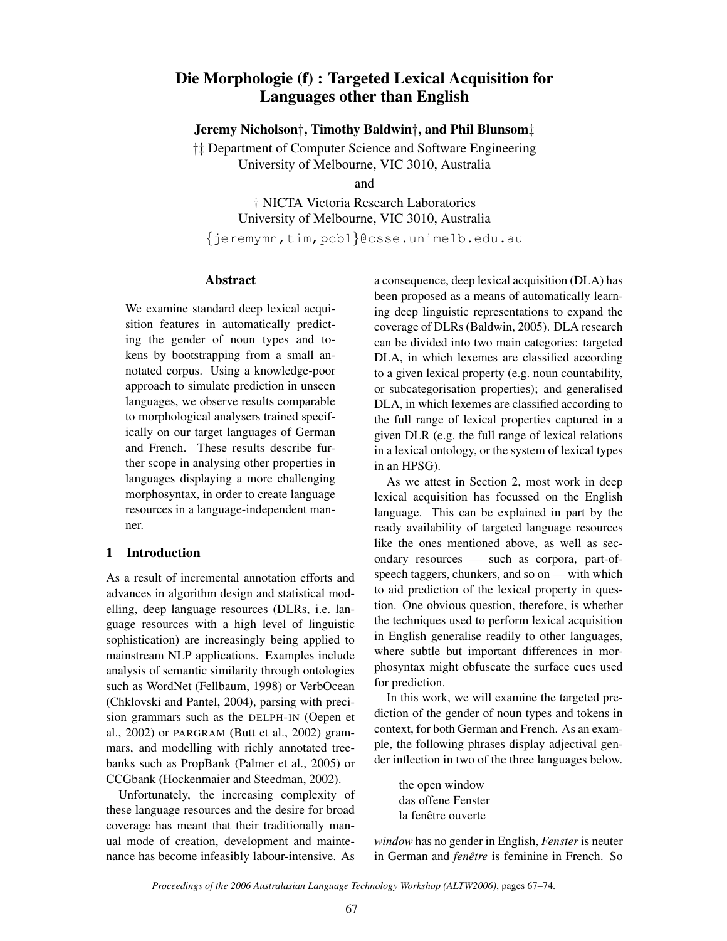# Die Morphologie (f) : Targeted Lexical Acquisition for Languages other than English

Jeremy Nicholson†, Timothy Baldwin†, and Phil Blunsom‡

†‡ Department of Computer Science and Software Engineering University of Melbourne, VIC 3010, Australia

and

† NICTA Victoria Research Laboratories University of Melbourne, VIC 3010, Australia

{jeremymn,tim,pcbl}@csse.unimelb.edu.au

#### Abstract

We examine standard deep lexical acquisition features in automatically predicting the gender of noun types and tokens by bootstrapping from a small annotated corpus. Using a knowledge-poor approach to simulate prediction in unseen languages, we observe results comparable to morphological analysers trained specifically on our target languages of German and French. These results describe further scope in analysing other properties in languages displaying a more challenging morphosyntax, in order to create language resources in a language-independent manner.

## 1 Introduction

As a result of incremental annotation efforts and advances in algorithm design and statistical modelling, deep language resources (DLRs, i.e. language resources with a high level of linguistic sophistication) are increasingly being applied to mainstream NLP applications. Examples include analysis of semantic similarity through ontologies such as WordNet (Fellbaum, 1998) or VerbOcean (Chklovski and Pantel, 2004), parsing with precision grammars such as the DELPH-IN (Oepen et al., 2002) or PARGRAM (Butt et al., 2002) grammars, and modelling with richly annotated treebanks such as PropBank (Palmer et al., 2005) or CCGbank (Hockenmaier and Steedman, 2002).

Unfortunately, the increasing complexity of these language resources and the desire for broad coverage has meant that their traditionally manual mode of creation, development and maintenance has become infeasibly labour-intensive. As a consequence, deep lexical acquisition (DLA) has been proposed as a means of automatically learning deep linguistic representations to expand the coverage of DLRs (Baldwin, 2005). DLA research can be divided into two main categories: targeted DLA, in which lexemes are classified according to a given lexical property (e.g. noun countability, or subcategorisation properties); and generalised DLA, in which lexemes are classified according to the full range of lexical properties captured in a given DLR (e.g. the full range of lexical relations in a lexical ontology, or the system of lexical types in an HPSG).

As we attest in Section 2, most work in deep lexical acquisition has focussed on the English language. This can be explained in part by the ready availability of targeted language resources like the ones mentioned above, as well as secondary resources — such as corpora, part-ofspeech taggers, chunkers, and so on — with which to aid prediction of the lexical property in question. One obvious question, therefore, is whether the techniques used to perform lexical acquisition in English generalise readily to other languages, where subtle but important differences in morphosyntax might obfuscate the surface cues used for prediction.

In this work, we will examine the targeted prediction of the gender of noun types and tokens in context, for both German and French. As an example, the following phrases display adjectival gender inflection in two of the three languages below.

the open window das offene Fenster la fenêtre ouverte

*window* has no gender in English, *Fenster* is neuter in German and *fenêtre* is feminine in French. So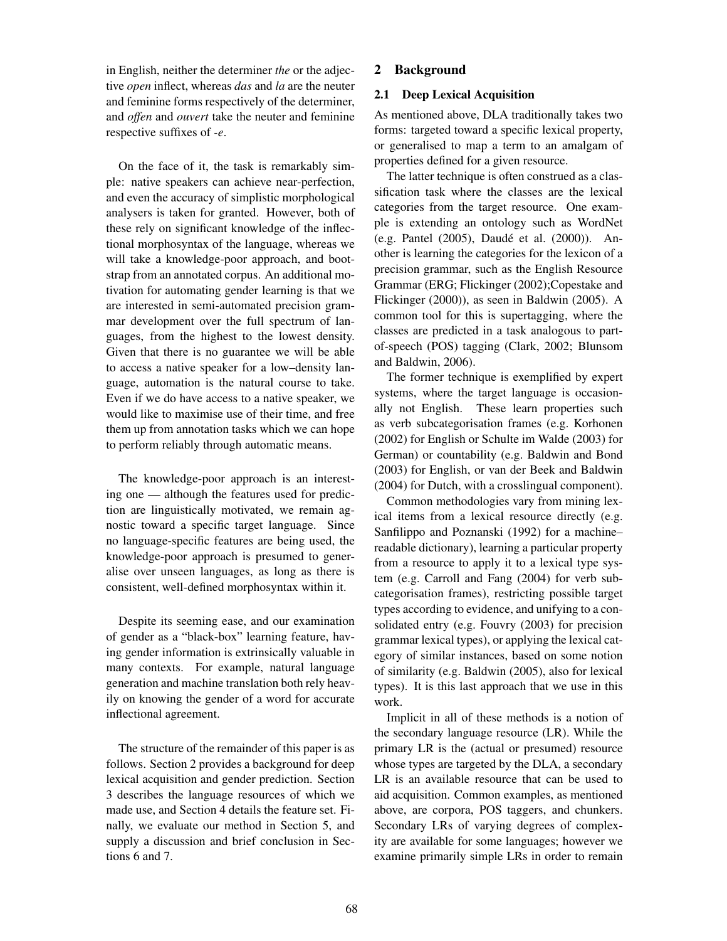in English, neither the determiner *the* or the adjective *open* inflect, whereas *das* and *la* are the neuter and feminine forms respectively of the determiner, and *offen* and *ouvert* take the neuter and feminine respective suffixes of *-e*.

On the face of it, the task is remarkably simple: native speakers can achieve near-perfection, and even the accuracy of simplistic morphological analysers is taken for granted. However, both of these rely on significant knowledge of the inflectional morphosyntax of the language, whereas we will take a knowledge-poor approach, and bootstrap from an annotated corpus. An additional motivation for automating gender learning is that we are interested in semi-automated precision grammar development over the full spectrum of languages, from the highest to the lowest density. Given that there is no guarantee we will be able to access a native speaker for a low–density language, automation is the natural course to take. Even if we do have access to a native speaker, we would like to maximise use of their time, and free them up from annotation tasks which we can hope to perform reliably through automatic means.

The knowledge-poor approach is an interesting one — although the features used for prediction are linguistically motivated, we remain agnostic toward a specific target language. Since no language-specific features are being used, the knowledge-poor approach is presumed to generalise over unseen languages, as long as there is consistent, well-defined morphosyntax within it.

Despite its seeming ease, and our examination of gender as a "black-box" learning feature, having gender information is extrinsically valuable in many contexts. For example, natural language generation and machine translation both rely heavily on knowing the gender of a word for accurate inflectional agreement.

The structure of the remainder of this paper is as follows. Section 2 provides a background for deep lexical acquisition and gender prediction. Section 3 describes the language resources of which we made use, and Section 4 details the feature set. Finally, we evaluate our method in Section 5, and supply a discussion and brief conclusion in Sections 6 and 7.

## 2 Background

### 2.1 Deep Lexical Acquisition

As mentioned above, DLA traditionally takes two forms: targeted toward a specific lexical property, or generalised to map a term to an amalgam of properties defined for a given resource.

The latter technique is often construed as a classification task where the classes are the lexical categories from the target resource. One example is extending an ontology such as WordNet (e.g. Pantel  $(2005)$ , Daudé et al.  $(2000)$ ). Another is learning the categories for the lexicon of a precision grammar, such as the English Resource Grammar (ERG; Flickinger (2002);Copestake and Flickinger (2000)), as seen in Baldwin (2005). A common tool for this is supertagging, where the classes are predicted in a task analogous to partof-speech (POS) tagging (Clark, 2002; Blunsom and Baldwin, 2006).

The former technique is exemplified by expert systems, where the target language is occasionally not English. These learn properties such as verb subcategorisation frames (e.g. Korhonen (2002) for English or Schulte im Walde (2003) for German) or countability (e.g. Baldwin and Bond (2003) for English, or van der Beek and Baldwin (2004) for Dutch, with a crosslingual component).

Common methodologies vary from mining lexical items from a lexical resource directly (e.g. Sanfilippo and Poznanski (1992) for a machine– readable dictionary), learning a particular property from a resource to apply it to a lexical type system (e.g. Carroll and Fang (2004) for verb subcategorisation frames), restricting possible target types according to evidence, and unifying to a consolidated entry (e.g. Fouvry (2003) for precision grammar lexical types), or applying the lexical category of similar instances, based on some notion of similarity (e.g. Baldwin (2005), also for lexical types). It is this last approach that we use in this work.

Implicit in all of these methods is a notion of the secondary language resource (LR). While the primary LR is the (actual or presumed) resource whose types are targeted by the DLA, a secondary LR is an available resource that can be used to aid acquisition. Common examples, as mentioned above, are corpora, POS taggers, and chunkers. Secondary LRs of varying degrees of complexity are available for some languages; however we examine primarily simple LRs in order to remain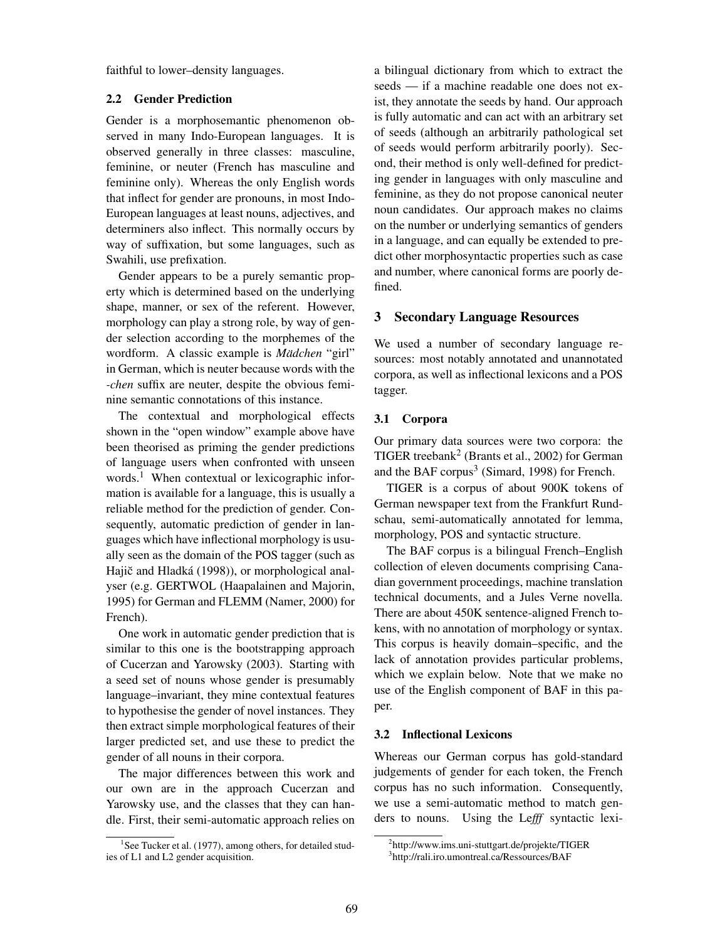faithful to lower–density languages.

### 2.2 Gender Prediction

Gender is a morphosemantic phenomenon observed in many Indo-European languages. It is observed generally in three classes: masculine, feminine, or neuter (French has masculine and feminine only). Whereas the only English words that inflect for gender are pronouns, in most Indo-European languages at least nouns, adjectives, and determiners also inflect. This normally occurs by way of suffixation, but some languages, such as Swahili, use prefixation.

Gender appears to be a purely semantic property which is determined based on the underlying shape, manner, or sex of the referent. However, morphology can play a strong role, by way of gender selection according to the morphemes of the wordform. A classic example is *Mädchen* "girl" in German, which is neuter because words with the *-chen* suffix are neuter, despite the obvious feminine semantic connotations of this instance.

The contextual and morphological effects shown in the "open window" example above have been theorised as priming the gender predictions of language users when confronted with unseen words.<sup>1</sup> When contextual or lexicographic information is available for a language, this is usually a reliable method for the prediction of gender. Consequently, automatic prediction of gender in languages which have inflectional morphology is usually seen as the domain of the POS tagger (such as Hajič and Hladká (1998)), or morphological analyser (e.g. GERTWOL (Haapalainen and Majorin, 1995) for German and FLEMM (Namer, 2000) for French).

One work in automatic gender prediction that is similar to this one is the bootstrapping approach of Cucerzan and Yarowsky (2003). Starting with a seed set of nouns whose gender is presumably language–invariant, they mine contextual features to hypothesise the gender of novel instances. They then extract simple morphological features of their larger predicted set, and use these to predict the gender of all nouns in their corpora.

The major differences between this work and our own are in the approach Cucerzan and Yarowsky use, and the classes that they can handle. First, their semi-automatic approach relies on a bilingual dictionary from which to extract the seeds — if a machine readable one does not exist, they annotate the seeds by hand. Our approach is fully automatic and can act with an arbitrary set of seeds (although an arbitrarily pathological set of seeds would perform arbitrarily poorly). Second, their method is only well-defined for predicting gender in languages with only masculine and feminine, as they do not propose canonical neuter noun candidates. Our approach makes no claims on the number or underlying semantics of genders in a language, and can equally be extended to predict other morphosyntactic properties such as case and number, where canonical forms are poorly defined.

## 3 Secondary Language Resources

We used a number of secondary language resources: most notably annotated and unannotated corpora, as well as inflectional lexicons and a POS tagger.

## 3.1 Corpora

Our primary data sources were two corpora: the TIGER treebank<sup>2</sup> (Brants et al., 2002) for German and the BAF corpus<sup>3</sup> (Simard, 1998) for French.

TIGER is a corpus of about 900K tokens of German newspaper text from the Frankfurt Rundschau, semi-automatically annotated for lemma, morphology, POS and syntactic structure.

The BAF corpus is a bilingual French–English collection of eleven documents comprising Canadian government proceedings, machine translation technical documents, and a Jules Verne novella. There are about 450K sentence-aligned French tokens, with no annotation of morphology or syntax. This corpus is heavily domain–specific, and the lack of annotation provides particular problems, which we explain below. Note that we make no use of the English component of BAF in this paper.

## 3.2 Inflectional Lexicons

Whereas our German corpus has gold-standard judgements of gender for each token, the French corpus has no such information. Consequently, we use a semi-automatic method to match genders to nouns. Using the Le*fff* syntactic lexi-

<sup>&</sup>lt;sup>1</sup>See Tucker et al. (1977), among others, for detailed studies of L1 and L2 gender acquisition.

<sup>2</sup> http://www.ims.uni-stuttgart.de/projekte/TIGER

<sup>3</sup> http://rali.iro.umontreal.ca/Ressources/BAF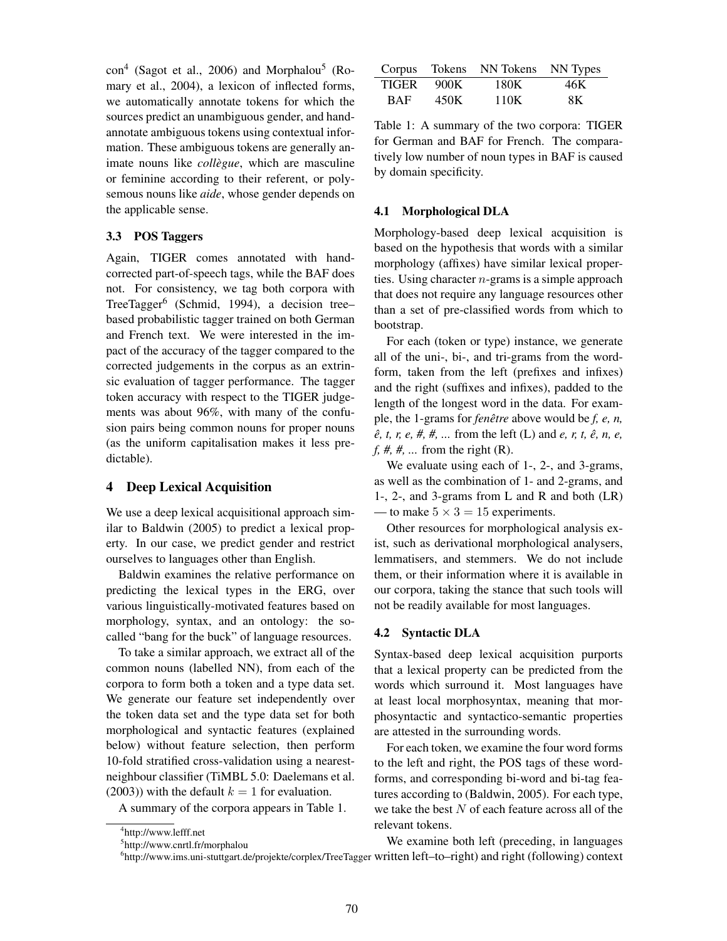con<sup>4</sup> (Sagot et al., 2006) and Morphalou<sup>5</sup> (Romary et al., 2004), a lexicon of inflected forms, we automatically annotate tokens for which the sources predict an unambiguous gender, and handannotate ambiguous tokens using contextual information. These ambiguous tokens are generally animate nouns like *collègue*, which are masculine or feminine according to their referent, or polysemous nouns like *aide*, whose gender depends on the applicable sense.

## 3.3 POS Taggers

Again, TIGER comes annotated with handcorrected part-of-speech tags, while the BAF does not. For consistency, we tag both corpora with TreeTagger<sup>6</sup> (Schmid, 1994), a decision treebased probabilistic tagger trained on both German and French text. We were interested in the impact of the accuracy of the tagger compared to the corrected judgements in the corpus as an extrinsic evaluation of tagger performance. The tagger token accuracy with respect to the TIGER judgements was about 96%, with many of the confusion pairs being common nouns for proper nouns (as the uniform capitalisation makes it less predictable).

### 4 Deep Lexical Acquisition

We use a deep lexical acquisitional approach similar to Baldwin (2005) to predict a lexical property. In our case, we predict gender and restrict ourselves to languages other than English.

Baldwin examines the relative performance on predicting the lexical types in the ERG, over various linguistically-motivated features based on morphology, syntax, and an ontology: the socalled "bang for the buck" of language resources.

To take a similar approach, we extract all of the common nouns (labelled NN), from each of the corpora to form both a token and a type data set. We generate our feature set independently over the token data set and the type data set for both morphological and syntactic features (explained below) without feature selection, then perform 10-fold stratified cross-validation using a nearestneighbour classifier (TiMBL 5.0: Daelemans et al. (2003)) with the default  $k = 1$  for evaluation.

A summary of the corpora appears in Table 1.

| Corpus       |      | Tokens NN Tokens NN Types |     |
|--------------|------|---------------------------|-----|
| <b>TIGER</b> | 900K | 180K                      | 46K |
| <b>BAF</b>   | 450K | 110K                      | 8K  |

Table 1: A summary of the two corpora: TIGER for German and BAF for French. The comparatively low number of noun types in BAF is caused by domain specificity.

#### 4.1 Morphological DLA

Morphology-based deep lexical acquisition is based on the hypothesis that words with a similar morphology (affixes) have similar lexical properties. Using character  $n$ -grams is a simple approach that does not require any language resources other than a set of pre-classified words from which to bootstrap.

For each (token or type) instance, we generate all of the uni-, bi-, and tri-grams from the wordform, taken from the left (prefixes and infixes) and the right (suffixes and infixes), padded to the length of the longest word in the data. For example, the 1-grams for *fenêtre* above would be *f, e, n, e*, *t*, *r*, *e*, *#*, *#*, *... from the left (L) and <i>e*, *r*, *t*, *ê*, *n*, *e*, *f, #, #, ...* from the right (R).

We evaluate using each of 1-, 2-, and 3-grams, as well as the combination of 1- and 2-grams, and 1-, 2-, and 3-grams from L and R and both (LR) — to make  $5 \times 3 = 15$  experiments.

Other resources for morphological analysis exist, such as derivational morphological analysers, lemmatisers, and stemmers. We do not include them, or their information where it is available in our corpora, taking the stance that such tools will not be readily available for most languages.

#### 4.2 Syntactic DLA

Syntax-based deep lexical acquisition purports that a lexical property can be predicted from the words which surround it. Most languages have at least local morphosyntax, meaning that morphosyntactic and syntactico-semantic properties are attested in the surrounding words.

For each token, we examine the four word forms to the left and right, the POS tags of these wordforms, and corresponding bi-word and bi-tag features according to (Baldwin, 2005). For each type, we take the best  $N$  of each feature across all of the relevant tokens.

6 http://www.ims.uni-stuttgart.de/projekte/corplex/TreeTagger written left–to–right) and right (following) context We examine both left (preceding, in languages

<sup>4</sup> http://www.lefff.net

<sup>5</sup> http://www.cnrtl.fr/morphalou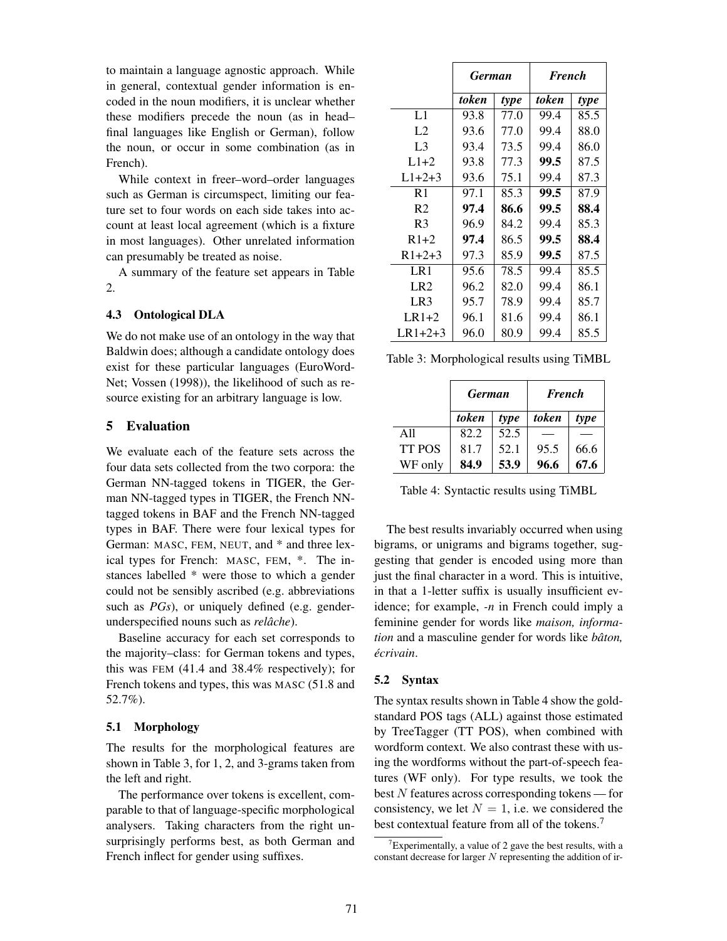to maintain a language agnostic approach. While in general, contextual gender information is encoded in the noun modifiers, it is unclear whether these modifiers precede the noun (as in head– final languages like English or German), follow the noun, or occur in some combination (as in French).

While context in freer–word–order languages such as German is circumspect, limiting our feature set to four words on each side takes into account at least local agreement (which is a fixture in most languages). Other unrelated information can presumably be treated as noise.

A summary of the feature set appears in Table 2.

### 4.3 Ontological DLA

We do not make use of an ontology in the way that Baldwin does; although a candidate ontology does exist for these particular languages (EuroWord-Net; Vossen (1998)), the likelihood of such as resource existing for an arbitrary language is low.

#### 5 Evaluation

We evaluate each of the feature sets across the four data sets collected from the two corpora: the German NN-tagged tokens in TIGER, the German NN-tagged types in TIGER, the French NNtagged tokens in BAF and the French NN-tagged types in BAF. There were four lexical types for German: MASC, FEM, NEUT, and \* and three lexical types for French: MASC, FEM, \*. The instances labelled \* were those to which a gender could not be sensibly ascribed (e.g. abbreviations such as *PGs*), or uniquely defined (e.g. genderunderspecified nouns such as *relâche*).

Baseline accuracy for each set corresponds to the majority–class: for German tokens and types, this was FEM (41.4 and 38.4% respectively); for French tokens and types, this was MASC (51.8 and 52.7%).

#### 5.1 Morphology

The results for the morphological features are shown in Table 3, for 1, 2, and 3-grams taken from the left and right.

The performance over tokens is excellent, comparable to that of language-specific morphological analysers. Taking characters from the right unsurprisingly performs best, as both German and French inflect for gender using suffixes.

|                 | <b>German</b> |      | <b>French</b> |      |
|-----------------|---------------|------|---------------|------|
|                 | token         | type | token         | type |
| L1              | 93.8          | 77.0 | 99.4          | 85.5 |
| L <sub>2</sub>  | 93.6          | 77.0 | 99.4          | 88.0 |
| L <sub>3</sub>  | 93.4          | 73.5 | 99.4          | 86.0 |
| $L1+2$          | 93.8          | 77.3 | 99.5          | 87.5 |
| $L1+2+3$        | 93.6          | 75.1 | 99.4          | 87.3 |
| R1              | 97.1          | 85.3 | 99.5          | 87.9 |
| R <sub>2</sub>  | 97.4          | 86.6 | 99.5          | 88.4 |
| R <sub>3</sub>  | 96.9          | 84.2 | 99.4          | 85.3 |
| $R1+2$          | 97.4          | 86.5 | 99.5          | 88.4 |
| $R1+2+3$        | 97.3          | 85.9 | 99.5          | 87.5 |
| LR1             | 95.6          | 78.5 | 99.4          | 85.5 |
| LR <sub>2</sub> | 96.2          | 82.0 | 99.4          | 86.1 |
| LR3             | 95.7          | 78.9 | 99.4          | 85.7 |
| $LR1+2$         | 96.1          | 81.6 | 99.4          | 86.1 |
| $LR1 + 2 + 3$   | 96.0          | 80.9 | 99.4          | 85.5 |

Table 3: Morphological results using TiMBL

|               | <b>German</b> |      | <b>French</b> |      |
|---------------|---------------|------|---------------|------|
|               | token         | type | token         | type |
| A11           | 82.2          | 52.5 |               |      |
| <b>TT POS</b> | 81.7          | 52.1 | 95.5          | 66.6 |
| WF only       | 84.9          | 53.9 | 96.6          | 67.6 |

Table 4: Syntactic results using TiMBL

The best results invariably occurred when using bigrams, or unigrams and bigrams together, suggesting that gender is encoded using more than just the final character in a word. This is intuitive, in that a 1-letter suffix is usually insufficient evidence; for example, *-n* in French could imply a feminine gender for words like *maison, information* and a masculine gender for words like *bâton*,  $écrivain$ 

#### 5.2 Syntax

The syntax results shown in Table 4 show the goldstandard POS tags (ALL) against those estimated by TreeTagger (TT POS), when combined with wordform context. We also contrast these with using the wordforms without the part-of-speech features (WF only). For type results, we took the best N features across corresponding tokens — for consistency, we let  $N = 1$ , i.e. we considered the best contextual feature from all of the tokens.<sup>7</sup>

<sup>&</sup>lt;sup>7</sup>Experimentally, a value of 2 gave the best results, with a constant decrease for larger  $N$  representing the addition of ir-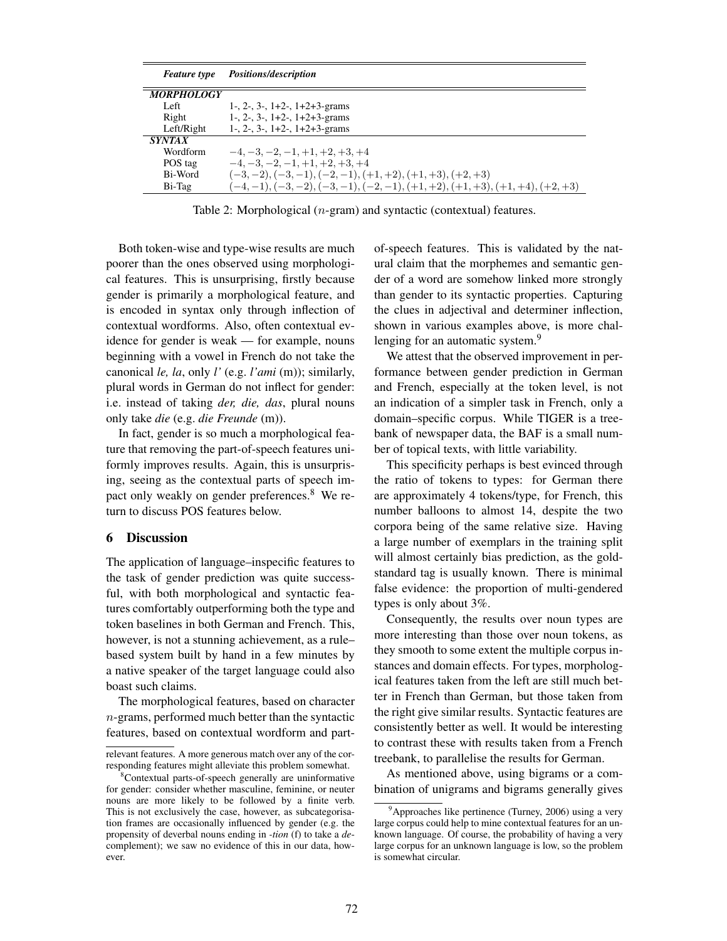| <b>Feature</b> type      | <i>Positions/description</i>                                             |
|--------------------------|--------------------------------------------------------------------------|
| <i><b>MORPHOLOGY</b></i> |                                                                          |
| Left.                    | 1-, 2-, 3-, $1+2$ -, $1+2+3$ -grams                                      |
| Right                    | $1-$ , $2-$ , $3-$ , $1+2-$ , $1+2+3-$ grams                             |
| Left/Right               | $1-$ , $2-$ , $3-$ , $1+2-$ , $1+2+3-$ grams                             |
| <i>SYNTAX</i>            |                                                                          |
| Wordform                 | $-4, -3, -2, -1, +1, +2, +3, +4$                                         |
| POS tag                  | $-4, -3, -2, -1, +1, +2, +3, +4$                                         |
| Bi-Word                  | $(-3,-2), (-3,-1), (-2,-1), (+1,+2), (+1,+3), (+2,+3)$                   |
| Bi-Tag                   | $(-4,-1), (-3,-2), (-3,-1), (-2,-1), (+1,+2), (+1,+3), (+1,+4), (+2,+3)$ |

Table 2: Morphological (n-gram) and syntactic (contextual) features.

Both token-wise and type-wise results are much poorer than the ones observed using morphological features. This is unsurprising, firstly because gender is primarily a morphological feature, and is encoded in syntax only through inflection of contextual wordforms. Also, often contextual evidence for gender is weak — for example, nouns beginning with a vowel in French do not take the canonical *le, la*, only *l'* (e.g. *l'ami* (m)); similarly, plural words in German do not inflect for gender: i.e. instead of taking *der, die, das*, plural nouns only take *die* (e.g. *die Freunde* (m)).

In fact, gender is so much a morphological feature that removing the part-of-speech features uniformly improves results. Again, this is unsurprising, seeing as the contextual parts of speech impact only weakly on gender preferences.<sup>8</sup> We return to discuss POS features below.

## 6 Discussion

The application of language–inspecific features to the task of gender prediction was quite successful, with both morphological and syntactic features comfortably outperforming both the type and token baselines in both German and French. This, however, is not a stunning achievement, as a rule– based system built by hand in a few minutes by a native speaker of the target language could also boast such claims.

The morphological features, based on character n-grams, performed much better than the syntactic features, based on contextual wordform and partof-speech features. This is validated by the natural claim that the morphemes and semantic gender of a word are somehow linked more strongly than gender to its syntactic properties. Capturing the clues in adjectival and determiner inflection, shown in various examples above, is more challenging for an automatic system.<sup>9</sup>

We attest that the observed improvement in performance between gender prediction in German and French, especially at the token level, is not an indication of a simpler task in French, only a domain–specific corpus. While TIGER is a treebank of newspaper data, the BAF is a small number of topical texts, with little variability.

This specificity perhaps is best evinced through the ratio of tokens to types: for German there are approximately 4 tokens/type, for French, this number balloons to almost 14, despite the two corpora being of the same relative size. Having a large number of exemplars in the training split will almost certainly bias prediction, as the goldstandard tag is usually known. There is minimal false evidence: the proportion of multi-gendered types is only about 3%.

Consequently, the results over noun types are more interesting than those over noun tokens, as they smooth to some extent the multiple corpus instances and domain effects. For types, morphological features taken from the left are still much better in French than German, but those taken from the right give similar results. Syntactic features are consistently better as well. It would be interesting to contrast these with results taken from a French treebank, to parallelise the results for German.

As mentioned above, using bigrams or a combination of unigrams and bigrams generally gives

relevant features. A more generous match over any of the corresponding features might alleviate this problem somewhat.

<sup>&</sup>lt;sup>8</sup>Contextual parts-of-speech generally are uninformative for gender: consider whether masculine, feminine, or neuter nouns are more likely to be followed by a finite verb. This is not exclusively the case, however, as subcategorisation frames are occasionally influenced by gender (e.g. the propensity of deverbal nouns ending in *-tion* (f) to take a *de*complement); we saw no evidence of this in our data, however.

 $9^9$ Approaches like pertinence (Turney, 2006) using a very large corpus could help to mine contextual features for an unknown language. Of course, the probability of having a very large corpus for an unknown language is low, so the problem is somewhat circular.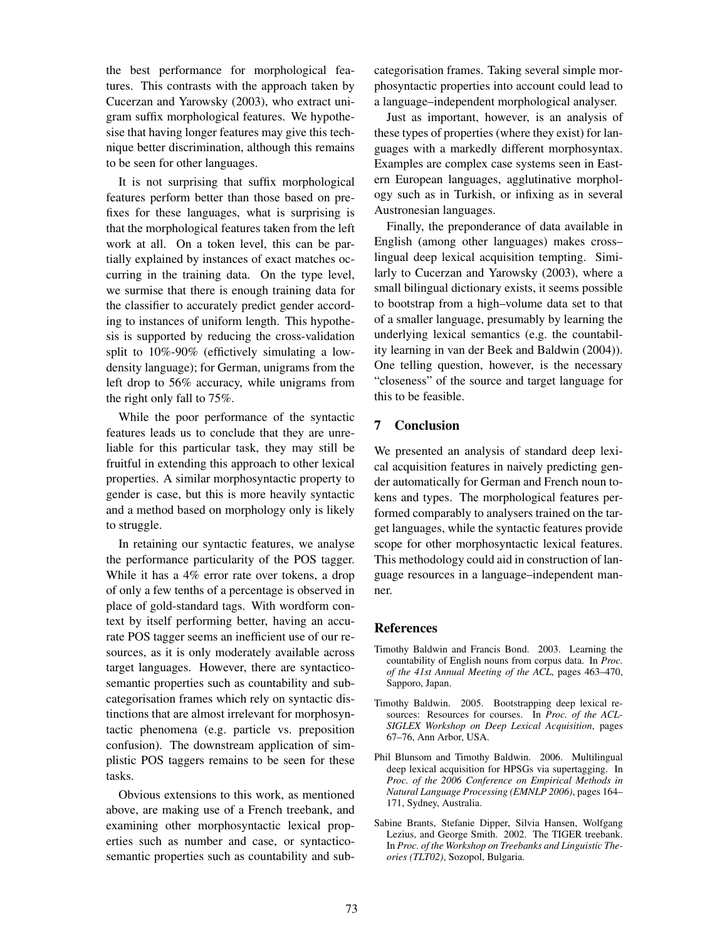the best performance for morphological features. This contrasts with the approach taken by Cucerzan and Yarowsky (2003), who extract unigram suffix morphological features. We hypothesise that having longer features may give this technique better discrimination, although this remains to be seen for other languages.

It is not surprising that suffix morphological features perform better than those based on prefixes for these languages, what is surprising is that the morphological features taken from the left work at all. On a token level, this can be partially explained by instances of exact matches occurring in the training data. On the type level, we surmise that there is enough training data for the classifier to accurately predict gender according to instances of uniform length. This hypothesis is supported by reducing the cross-validation split to 10%-90% (effictively simulating a lowdensity language); for German, unigrams from the left drop to 56% accuracy, while unigrams from the right only fall to 75%.

While the poor performance of the syntactic features leads us to conclude that they are unreliable for this particular task, they may still be fruitful in extending this approach to other lexical properties. A similar morphosyntactic property to gender is case, but this is more heavily syntactic and a method based on morphology only is likely to struggle.

In retaining our syntactic features, we analyse the performance particularity of the POS tagger. While it has a 4% error rate over tokens, a drop of only a few tenths of a percentage is observed in place of gold-standard tags. With wordform context by itself performing better, having an accurate POS tagger seems an inefficient use of our resources, as it is only moderately available across target languages. However, there are syntacticosemantic properties such as countability and subcategorisation frames which rely on syntactic distinctions that are almost irrelevant for morphosyntactic phenomena (e.g. particle vs. preposition confusion). The downstream application of simplistic POS taggers remains to be seen for these tasks.

Obvious extensions to this work, as mentioned above, are making use of a French treebank, and examining other morphosyntactic lexical properties such as number and case, or syntacticosemantic properties such as countability and sub-

categorisation frames. Taking several simple morphosyntactic properties into account could lead to a language–independent morphological analyser.

Just as important, however, is an analysis of these types of properties (where they exist) for languages with a markedly different morphosyntax. Examples are complex case systems seen in Eastern European languages, agglutinative morphology such as in Turkish, or infixing as in several Austronesian languages.

Finally, the preponderance of data available in English (among other languages) makes cross– lingual deep lexical acquisition tempting. Similarly to Cucerzan and Yarowsky (2003), where a small bilingual dictionary exists, it seems possible to bootstrap from a high–volume data set to that of a smaller language, presumably by learning the underlying lexical semantics (e.g. the countability learning in van der Beek and Baldwin (2004)). One telling question, however, is the necessary "closeness" of the source and target language for this to be feasible.

## 7 Conclusion

We presented an analysis of standard deep lexical acquisition features in naively predicting gender automatically for German and French noun tokens and types. The morphological features performed comparably to analysers trained on the target languages, while the syntactic features provide scope for other morphosyntactic lexical features. This methodology could aid in construction of language resources in a language–independent manner.

#### References

- Timothy Baldwin and Francis Bond. 2003. Learning the countability of English nouns from corpus data. In *Proc. of the 41st Annual Meeting of the ACL*, pages 463–470, Sapporo, Japan.
- Timothy Baldwin. 2005. Bootstrapping deep lexical resources: Resources for courses. In *Proc. of the ACL-SIGLEX Workshop on Deep Lexical Acquisition*, pages 67–76, Ann Arbor, USA.
- Phil Blunsom and Timothy Baldwin. 2006. Multilingual deep lexical acquisition for HPSGs via supertagging. In *Proc. of the 2006 Conference on Empirical Methods in Natural Language Processing (EMNLP 2006)*, pages 164– 171, Sydney, Australia.
- Sabine Brants, Stefanie Dipper, Silvia Hansen, Wolfgang Lezius, and George Smith. 2002. The TIGER treebank. In *Proc. of the Workshop on Treebanks and Linguistic Theories (TLT02)*, Sozopol, Bulgaria.